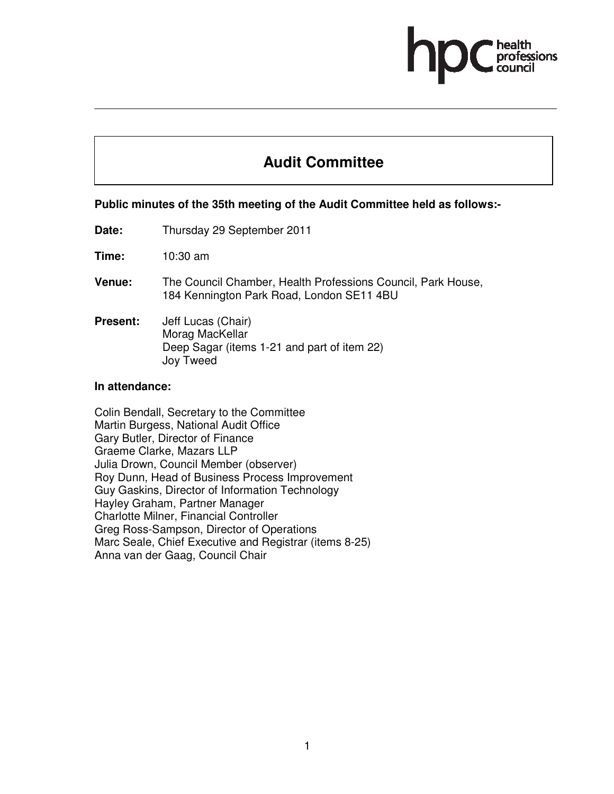# **Audit Committee**

#### **Public minutes of the 35th meeting of the Audit Committee held as follows:-**

**Date:** Thursday 29 September 2011

**Time:** 10:30 am

- **Venue:** The Council Chamber, Health Professions Council, Park House, 184 Kennington Park Road, London SE11 4BU
- **Present:** Jeff Lucas (Chair) Morag MacKellar Deep Sagar (items 1-21 and part of item 22) Joy Tweed

#### **In attendance:**

Colin Bendall, Secretary to the Committee Martin Burgess, National Audit Office Gary Butler, Director of Finance Graeme Clarke, Mazars LLP Julia Drown, Council Member (observer) Roy Dunn, Head of Business Process Improvement Guy Gaskins, Director of Information Technology Hayley Graham, Partner Manager Charlotte Milner, Financial Controller Greg Ross-Sampson, Director of Operations Marc Seale, Chief Executive and Registrar (items 8-25) Anna van der Gaag, Council Chair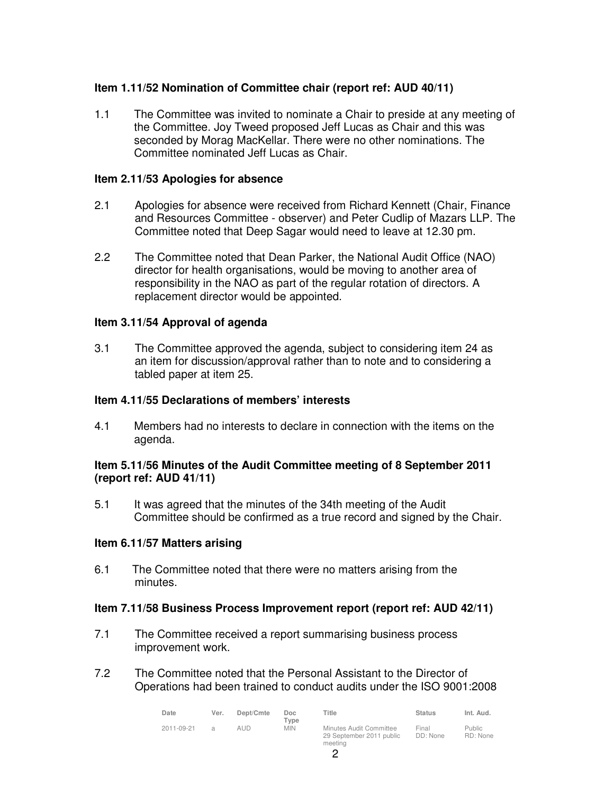# **Item 1.11/52 Nomination of Committee chair (report ref: AUD 40/11)**

1.1 The Committee was invited to nominate a Chair to preside at any meeting of the Committee. Joy Tweed proposed Jeff Lucas as Chair and this was seconded by Morag MacKellar. There were no other nominations. The Committee nominated Jeff Lucas as Chair.

## **Item 2.11/53 Apologies for absence**

- 2.1 Apologies for absence were received from Richard Kennett (Chair, Finance and Resources Committee - observer) and Peter Cudlip of Mazars LLP. The Committee noted that Deep Sagar would need to leave at 12.30 pm.
- 2.2 The Committee noted that Dean Parker, the National Audit Office (NAO) director for health organisations, would be moving to another area of responsibility in the NAO as part of the regular rotation of directors. A replacement director would be appointed.

## **Item 3.11/54 Approval of agenda**

3.1 The Committee approved the agenda, subject to considering item 24 as an item for discussion/approval rather than to note and to considering a tabled paper at item 25.

## **Item 4.11/55 Declarations of members' interests**

4.1 Members had no interests to declare in connection with the items on the agenda.

#### **Item 5.11/56 Minutes of the Audit Committee meeting of 8 September 2011 (report ref: AUD 41/11)**

5.1 It was agreed that the minutes of the 34th meeting of the Audit Committee should be confirmed as a true record and signed by the Chair.

## **Item 6.11/57 Matters arising**

6.1 The Committee noted that there were no matters arising from the minutes.

## **Item 7.11/58 Business Process Improvement report (report ref: AUD 42/11)**

- 7.1 The Committee received a report summarising business process improvement work.
- 7.2 The Committee noted that the Personal Assistant to the Director of Operations had been trained to conduct audits under the ISO 9001:2008

| Date       | Ver.          | Dept/Cmte | Doc<br>$T$ vpe | Title                                                          | <b>Status</b>     | Int. Aud.          |
|------------|---------------|-----------|----------------|----------------------------------------------------------------|-------------------|--------------------|
| 2011-09-21 | $\mathcal{A}$ | aud       | <b>MIN</b>     | Minutes Audit Committee<br>29 September 2011 public<br>meeting | Final<br>DD: None | Public<br>RD: None |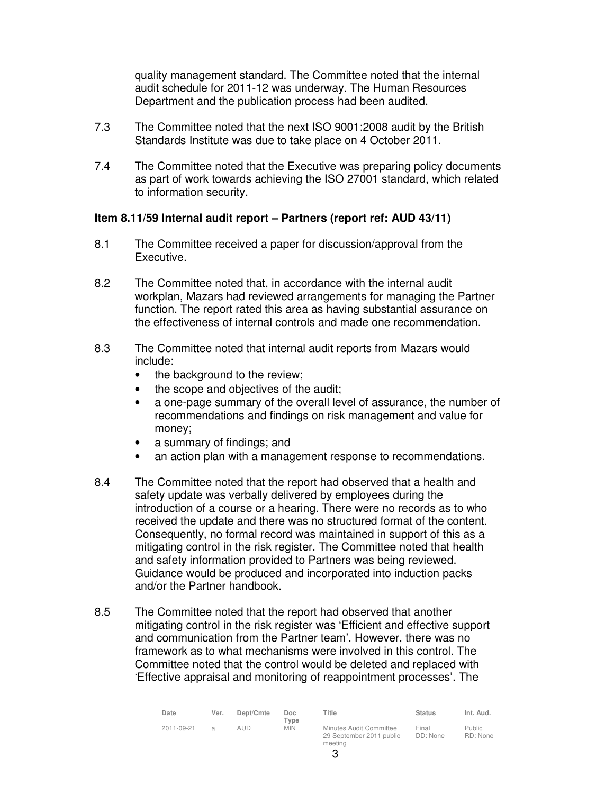quality management standard. The Committee noted that the internal audit schedule for 2011-12 was underway. The Human Resources Department and the publication process had been audited.

- 7.3 The Committee noted that the next ISO 9001:2008 audit by the British Standards Institute was due to take place on 4 October 2011.
- 7.4 The Committee noted that the Executive was preparing policy documents as part of work towards achieving the ISO 27001 standard, which related to information security.

## **Item 8.11/59 Internal audit report – Partners (report ref: AUD 43/11)**

- 8.1 The Committee received a paper for discussion/approval from the Executive.
- 8.2 The Committee noted that, in accordance with the internal audit workplan, Mazars had reviewed arrangements for managing the Partner function. The report rated this area as having substantial assurance on the effectiveness of internal controls and made one recommendation.
- 8.3 The Committee noted that internal audit reports from Mazars would include:
	- the background to the review;
	- the scope and objectives of the audit;
	- a one-page summary of the overall level of assurance, the number of recommendations and findings on risk management and value for money;
	- a summary of findings; and
	- an action plan with a management response to recommendations.
- 8.4 The Committee noted that the report had observed that a health and safety update was verbally delivered by employees during the introduction of a course or a hearing. There were no records as to who received the update and there was no structured format of the content. Consequently, no formal record was maintained in support of this as a mitigating control in the risk register. The Committee noted that health and safety information provided to Partners was being reviewed. Guidance would be produced and incorporated into induction packs and/or the Partner handbook.
- 8.5 The Committee noted that the report had observed that another mitigating control in the risk register was 'Efficient and effective support and communication from the Partner team'. However, there was no framework as to what mechanisms were involved in this control. The Committee noted that the control would be deleted and replaced with 'Effective appraisal and monitoring of reappointment processes'. The

| Date       | Ver.          | Dept/Cmte | Doc.<br>Tvpe | Title                                                          | <b>Status</b>     | Int. Aud.                 |
|------------|---------------|-----------|--------------|----------------------------------------------------------------|-------------------|---------------------------|
| 2011-09-21 | $\mathcal{A}$ | alid      | <b>MIN</b>   | Minutes Audit Committee<br>29 September 2011 public<br>meeting | Final<br>DD: None | <b>Public</b><br>RD: None |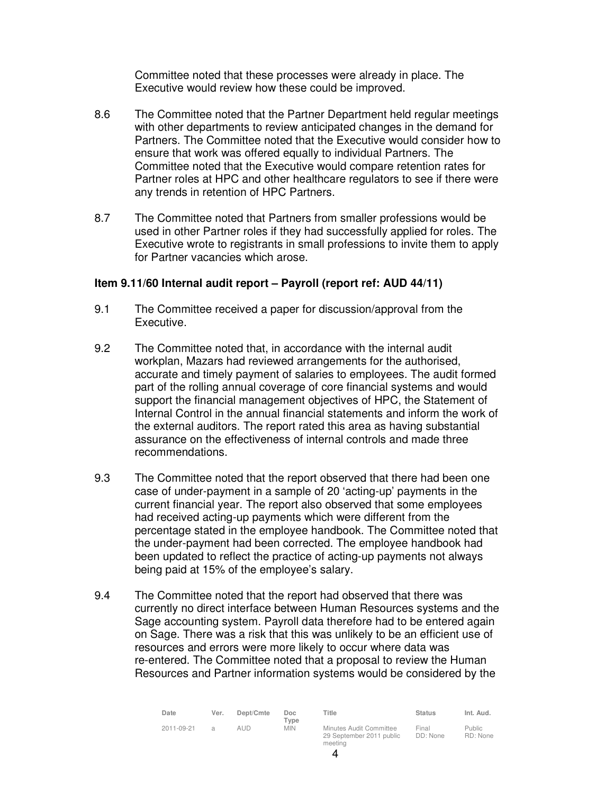Committee noted that these processes were already in place. The Executive would review how these could be improved.

- 8.6 The Committee noted that the Partner Department held regular meetings with other departments to review anticipated changes in the demand for Partners. The Committee noted that the Executive would consider how to ensure that work was offered equally to individual Partners. The Committee noted that the Executive would compare retention rates for Partner roles at HPC and other healthcare regulators to see if there were any trends in retention of HPC Partners.
- 8.7 The Committee noted that Partners from smaller professions would be used in other Partner roles if they had successfully applied for roles. The Executive wrote to registrants in small professions to invite them to apply for Partner vacancies which arose.

#### **Item 9.11/60 Internal audit report – Payroll (report ref: AUD 44/11)**

- 9.1 The Committee received a paper for discussion/approval from the Executive.
- 9.2 The Committee noted that, in accordance with the internal audit workplan, Mazars had reviewed arrangements for the authorised, accurate and timely payment of salaries to employees. The audit formed part of the rolling annual coverage of core financial systems and would support the financial management objectives of HPC, the Statement of Internal Control in the annual financial statements and inform the work of the external auditors. The report rated this area as having substantial assurance on the effectiveness of internal controls and made three recommendations.
- 9.3 The Committee noted that the report observed that there had been one case of under-payment in a sample of 20 'acting-up' payments in the current financial year. The report also observed that some employees had received acting-up payments which were different from the percentage stated in the employee handbook. The Committee noted that the under-payment had been corrected. The employee handbook had been updated to reflect the practice of acting-up payments not always being paid at 15% of the employee's salary.
- 9.4 The Committee noted that the report had observed that there was currently no direct interface between Human Resources systems and the Sage accounting system. Payroll data therefore had to be entered again on Sage. There was a risk that this was unlikely to be an efficient use of resources and errors were more likely to occur where data was re-entered. The Committee noted that a proposal to review the Human Resources and Partner information systems would be considered by the

| Date       | Ver. | Dept/Cmte  | Doc.<br>Type | Title                                                          | <b>Status</b>     | Int. Aud.                 |
|------------|------|------------|--------------|----------------------------------------------------------------|-------------------|---------------------------|
| 2011-09-21 | a    | <b>AUD</b> | <b>MIN</b>   | Minutes Audit Committee<br>29 September 2011 public<br>meeting | Final<br>DD: None | <b>Public</b><br>RD: None |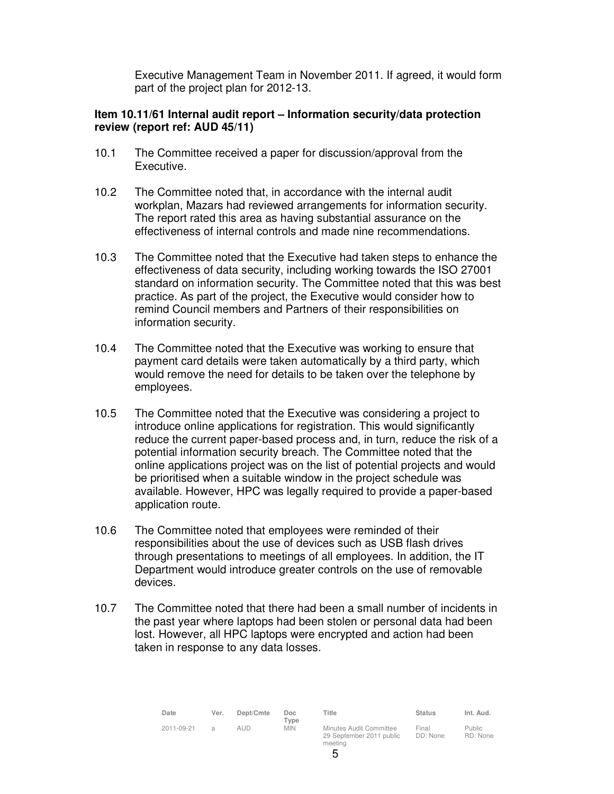Executive Management Team in November 2011. If agreed, it would form part of the project plan for 2012-13.

#### **Item 10.11/61 Internal audit report – Information security/data protection review (report ref: AUD 45/11)**

- 10.1 The Committee received a paper for discussion/approval from the Executive.
- 10.2 The Committee noted that, in accordance with the internal audit workplan, Mazars had reviewed arrangements for information security. The report rated this area as having substantial assurance on the effectiveness of internal controls and made nine recommendations.
- 10.3 The Committee noted that the Executive had taken steps to enhance the effectiveness of data security, including working towards the ISO 27001 standard on information security. The Committee noted that this was best practice. As part of the project, the Executive would consider how to remind Council members and Partners of their responsibilities on information security.
- 10.4 The Committee noted that the Executive was working to ensure that payment card details were taken automatically by a third party, which would remove the need for details to be taken over the telephone by employees.
- 10.5 The Committee noted that the Executive was considering a project to introduce online applications for registration. This would significantly reduce the current paper-based process and, in turn, reduce the risk of a potential information security breach. The Committee noted that the online applications project was on the list of potential projects and would be prioritised when a suitable window in the project schedule was available. However, HPC was legally required to provide a paper-based application route.
- 10.6 The Committee noted that employees were reminded of their responsibilities about the use of devices such as USB flash drives through presentations to meetings of all employees. In addition, the IT Department would introduce greater controls on the use of removable devices.
- 10.7 The Committee noted that there had been a small number of incidents in the past year where laptops had been stolen or personal data had been lost. However, all HPC laptops were encrypted and action had been taken in response to any data losses.

| Date       | Ver. | Dept/Cmte | Doc<br>Type | Title                                                          | <b>Status</b>     | Int. Aud.                 |
|------------|------|-----------|-------------|----------------------------------------------------------------|-------------------|---------------------------|
| 2011-09-21 | я    | AUD.      | <b>MIN</b>  | Minutes Audit Committee<br>29 September 2011 public<br>meetina | Final<br>DD: None | <b>Public</b><br>RD: None |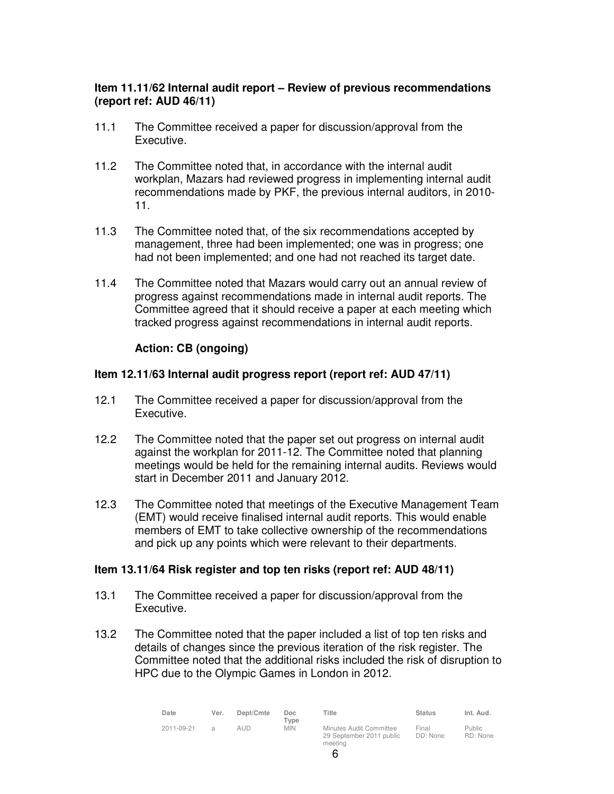# **Item 11.11/62 Internal audit report – Review of previous recommendations (report ref: AUD 46/11)**

- 11.1 The Committee received a paper for discussion/approval from the Executive.
- 11.2 The Committee noted that, in accordance with the internal audit workplan, Mazars had reviewed progress in implementing internal audit recommendations made by PKF, the previous internal auditors, in 2010- 11.
- 11.3 The Committee noted that, of the six recommendations accepted by management, three had been implemented; one was in progress; one had not been implemented; and one had not reached its target date.
- 11.4 The Committee noted that Mazars would carry out an annual review of progress against recommendations made in internal audit reports. The Committee agreed that it should receive a paper at each meeting which tracked progress against recommendations in internal audit reports.

# **Action: CB (ongoing)**

## **Item 12.11/63 Internal audit progress report (report ref: AUD 47/11)**

- 12.1 The Committee received a paper for discussion/approval from the Executive.
- 12.2 The Committee noted that the paper set out progress on internal audit against the workplan for 2011-12. The Committee noted that planning meetings would be held for the remaining internal audits. Reviews would start in December 2011 and January 2012.
- 12.3 The Committee noted that meetings of the Executive Management Team (EMT) would receive finalised internal audit reports. This would enable members of EMT to take collective ownership of the recommendations and pick up any points which were relevant to their departments.

## **Item 13.11/64 Risk register and top ten risks (report ref: AUD 48/11)**

- 13.1 The Committee received a paper for discussion/approval from the Executive.
- 13.2 The Committee noted that the paper included a list of top ten risks and details of changes since the previous iteration of the risk register. The Committee noted that the additional risks included the risk of disruption to HPC due to the Olympic Games in London in 2012.

| Date       | Ver. | Dept/Cmte | Doc.<br>Type | Title                                                          | <b>Status</b>     | Int. Aud.                 |
|------------|------|-----------|--------------|----------------------------------------------------------------|-------------------|---------------------------|
| 2011-09-21 |      | aud.      | <b>MIN</b>   | Minutes Audit Committee<br>29 September 2011 public<br>meetina | Final<br>DD: None | <b>Public</b><br>RD: None |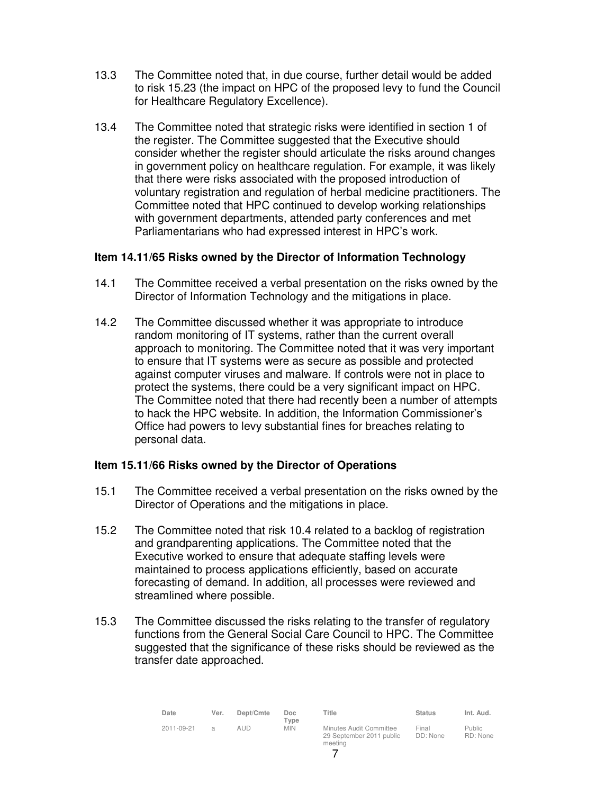- 13.3 The Committee noted that, in due course, further detail would be added to risk 15.23 (the impact on HPC of the proposed levy to fund the Council for Healthcare Regulatory Excellence).
- 13.4 The Committee noted that strategic risks were identified in section 1 of the register. The Committee suggested that the Executive should consider whether the register should articulate the risks around changes in government policy on healthcare regulation. For example, it was likely that there were risks associated with the proposed introduction of voluntary registration and regulation of herbal medicine practitioners. The Committee noted that HPC continued to develop working relationships with government departments, attended party conferences and met Parliamentarians who had expressed interest in HPC's work.

#### **Item 14.11/65 Risks owned by the Director of Information Technology**

- 14.1 The Committee received a verbal presentation on the risks owned by the Director of Information Technology and the mitigations in place.
- 14.2 The Committee discussed whether it was appropriate to introduce random monitoring of IT systems, rather than the current overall approach to monitoring. The Committee noted that it was very important to ensure that IT systems were as secure as possible and protected against computer viruses and malware. If controls were not in place to protect the systems, there could be a very significant impact on HPC. The Committee noted that there had recently been a number of attempts to hack the HPC website. In addition, the Information Commissioner's Office had powers to levy substantial fines for breaches relating to personal data.

#### **Item 15.11/66 Risks owned by the Director of Operations**

- 15.1 The Committee received a verbal presentation on the risks owned by the Director of Operations and the mitigations in place.
- 15.2 The Committee noted that risk 10.4 related to a backlog of registration and grandparenting applications. The Committee noted that the Executive worked to ensure that adequate staffing levels were maintained to process applications efficiently, based on accurate forecasting of demand. In addition, all processes were reviewed and streamlined where possible.
- 15.3 The Committee discussed the risks relating to the transfer of regulatory functions from the General Social Care Council to HPC. The Committee suggested that the significance of these risks should be reviewed as the transfer date approached.

| Date       | Ver.          | Dept/Cmte | Doc.<br>Type | Title                                                          | <b>Status</b>     | Int. Aud.                 |
|------------|---------------|-----------|--------------|----------------------------------------------------------------|-------------------|---------------------------|
| 2011-09-21 | $\mathcal{A}$ | aud       | <b>MIN</b>   | Minutes Audit Committee<br>29 September 2011 public<br>meeting | Final<br>DD: None | <b>Public</b><br>RD: None |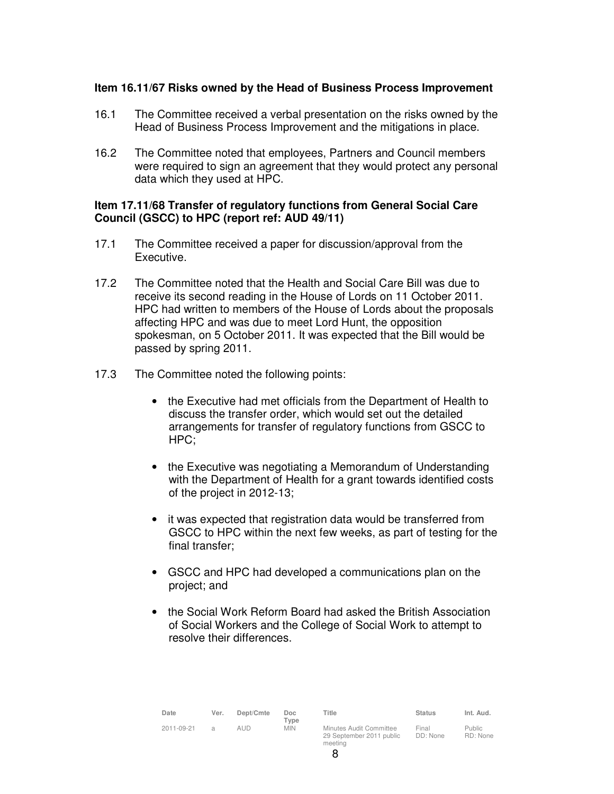#### **Item 16.11/67 Risks owned by the Head of Business Process Improvement**

- 16.1 The Committee received a verbal presentation on the risks owned by the Head of Business Process Improvement and the mitigations in place.
- 16.2 The Committee noted that employees, Partners and Council members were required to sign an agreement that they would protect any personal data which they used at HPC.

#### **Item 17.11/68 Transfer of regulatory functions from General Social Care Council (GSCC) to HPC (report ref: AUD 49/11)**

- 17.1 The Committee received a paper for discussion/approval from the Executive.
- 17.2 The Committee noted that the Health and Social Care Bill was due to receive its second reading in the House of Lords on 11 October 2011. HPC had written to members of the House of Lords about the proposals affecting HPC and was due to meet Lord Hunt, the opposition spokesman, on 5 October 2011. It was expected that the Bill would be passed by spring 2011.
- 17.3 The Committee noted the following points:
	- the Executive had met officials from the Department of Health to discuss the transfer order, which would set out the detailed arrangements for transfer of regulatory functions from GSCC to HPC;
	- the Executive was negotiating a Memorandum of Understanding with the Department of Health for a grant towards identified costs of the project in 2012-13;
	- it was expected that registration data would be transferred from GSCC to HPC within the next few weeks, as part of testing for the final transfer;
	- GSCC and HPC had developed a communications plan on the project; and
	- the Social Work Reform Board had asked the British Association of Social Workers and the College of Social Work to attempt to resolve their differences.

| Date       | Ver.          | Dept/Cmte | Doc<br>Type | Title                                                          | <b>Status</b>     | Int. Aud.                 |
|------------|---------------|-----------|-------------|----------------------------------------------------------------|-------------------|---------------------------|
| 2011-09-21 | $\mathcal{L}$ | aud       | <b>MIN</b>  | Minutes Audit Committee<br>29 September 2011 public<br>meeting | Final<br>DD: None | <b>Public</b><br>RD: None |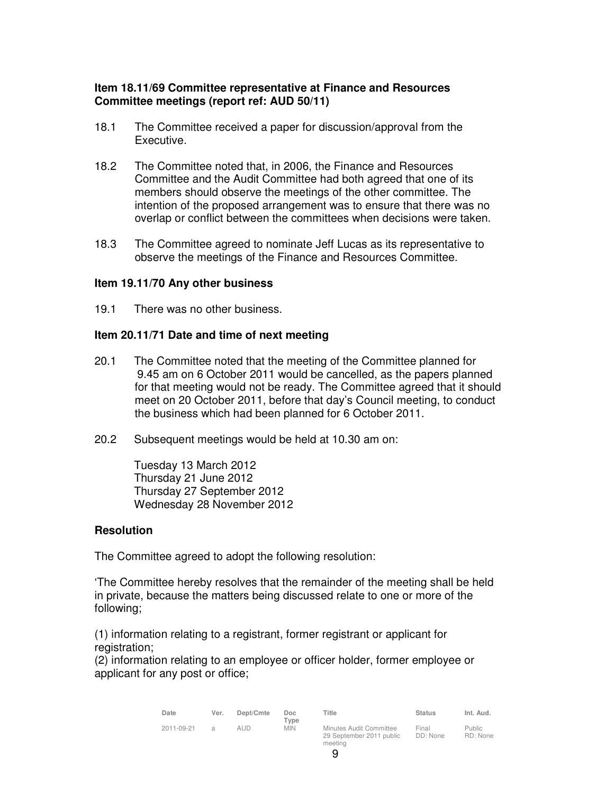# **Item 18.11/69 Committee representative at Finance and Resources Committee meetings (report ref: AUD 50/11)**

- 18.1 The Committee received a paper for discussion/approval from the Executive.
- 18.2 The Committee noted that, in 2006, the Finance and Resources Committee and the Audit Committee had both agreed that one of its members should observe the meetings of the other committee. The intention of the proposed arrangement was to ensure that there was no overlap or conflict between the committees when decisions were taken.
- 18.3 The Committee agreed to nominate Jeff Lucas as its representative to observe the meetings of the Finance and Resources Committee.

#### **Item 19.11/70 Any other business**

19.1 There was no other business.

#### **Item 20.11/71 Date and time of next meeting**

- 20.1 The Committee noted that the meeting of the Committee planned for 9.45 am on 6 October 2011 would be cancelled, as the papers planned for that meeting would not be ready. The Committee agreed that it should meet on 20 October 2011, before that day's Council meeting, to conduct the business which had been planned for 6 October 2011.
- 20.2 Subsequent meetings would be held at 10.30 am on:

Tuesday 13 March 2012 Thursday 21 June 2012 Thursday 27 September 2012 Wednesday 28 November 2012

#### **Resolution**

The Committee agreed to adopt the following resolution:

'The Committee hereby resolves that the remainder of the meeting shall be held in private, because the matters being discussed relate to one or more of the following;

(1) information relating to a registrant, former registrant or applicant for registration:

(2) information relating to an employee or officer holder, former employee or applicant for any post or office;

| Date       | Ver.           | Dept/Cmte | Doc<br>Type | Title                                                          | <b>Status</b>     | Int. Aud.                 |
|------------|----------------|-----------|-------------|----------------------------------------------------------------|-------------------|---------------------------|
| 2011-09-21 | $\overline{a}$ | aud       | <b>MIN</b>  | Minutes Audit Committee<br>29 September 2011 public<br>meeting | Final<br>DD: None | <b>Public</b><br>RD: None |